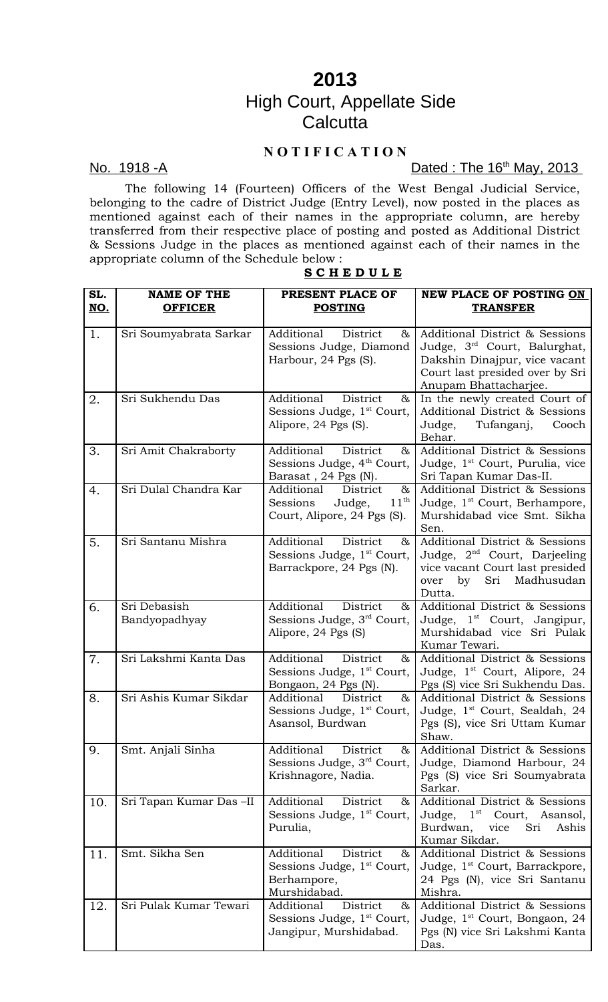# **2013** High Court, Appellate Side **Calcutta**

# **N O T I F I C A T I O N**

## <u>No. 1918 -A</u> 2013 **Dated : The 16<sup>th</sup> May, 2013**

The following 14 (Fourteen) Officers of the West Bengal Judicial Service, belonging to the cadre of District Judge (Entry Level), now posted in the places as mentioned against each of their names in the appropriate column, are hereby transferred from their respective place of posting and posted as Additional District & Sessions Judge in the places as mentioned against each of their names in the appropriate column of the Schedule below :

## **S C H E D U L E**

| SL. | <b>NAME OF THE</b>            | PRESENT PLACE OF                                                                                        | <b>NEW PLACE OF POSTING ON</b>                                                                                                                              |
|-----|-------------------------------|---------------------------------------------------------------------------------------------------------|-------------------------------------------------------------------------------------------------------------------------------------------------------------|
| NO. | <b>OFFICER</b>                | <b>POSTING</b>                                                                                          | <b>TRANSFER</b>                                                                                                                                             |
| 1.  | Sri Soumyabrata Sarkar        | Additional<br>District<br>&<br>Sessions Judge, Diamond<br>Harbour, 24 Pgs (S).                          | Additional District & Sessions<br>Judge, 3rd Court, Balurghat,<br>Dakshin Dinajpur, vice vacant<br>Court last presided over by Sri<br>Anupam Bhattacharjee. |
| 2.  | Sri Sukhendu Das              | Additional<br>District<br>&<br>Sessions Judge, 1 <sup>st</sup> Court,<br>Alipore, 24 Pgs (S).           | In the newly created Court of<br>Additional District & Sessions<br>Tufanganj,<br>Cooch<br>Judge,<br>Behar.                                                  |
| 3.  | Sri Amit Chakraborty          | Additional<br>District<br>&<br>Sessions Judge, 4 <sup>th</sup> Court,<br>Barasat, 24 Pgs (N).           | Additional District & Sessions<br>Judge, 1 <sup>st</sup> Court, Purulia, vice<br>Sri Tapan Kumar Das-II.                                                    |
| 4.  | Sri Dulal Chandra Kar         | Additional<br>District<br>$\&$<br>$11^{\text{th}}$<br>Sessions<br>Judge,<br>Court, Alipore, 24 Pgs (S). | Additional District & Sessions<br>Judge, 1 <sup>st</sup> Court, Berhampore,<br>Murshidabad vice Smt. Sikha<br>Sen.                                          |
| 5.  | Sri Santanu Mishra            | Additional<br>District<br>&<br>Sessions Judge, 1 <sup>st</sup> Court,<br>Barrackpore, 24 Pgs (N).       | Additional District & Sessions<br>Judge, 2 <sup>nd</sup> Court, Darjeeling<br>vice vacant Court last presided<br>by<br>Sri<br>Madhusudan<br>over<br>Dutta.  |
| 6.  | Sri Debasish<br>Bandyopadhyay | Additional<br>District<br>&<br>Sessions Judge, 3 <sup>rd</sup> Court,<br>Alipore, 24 Pgs (S)            | Additional District & Sessions<br>Judge, 1 <sup>st</sup> Court, Jangipur,<br>Murshidabad vice Sri Pulak<br>Kumar Tewari.                                    |
| 7.  | Sri Lakshmi Kanta Das         | Additional<br>District<br>$\&$<br>Sessions Judge, 1 <sup>st</sup> Court,<br>Bongaon, 24 Pgs (N).        | Additional District & Sessions<br>Judge, 1 <sup>st</sup> Court, Alipore, 24<br>Pgs (S) vice Sri Sukhendu Das.                                               |
| 8.  | Sri Ashis Kumar Sikdar        | Additional<br>District<br>&<br>Sessions Judge, 1 <sup>st</sup> Court,<br>Asansol, Burdwan               | Additional District & Sessions<br>Judge, 1 <sup>st</sup> Court, Sealdah, 24<br>Pgs (S), vice Sri Uttam Kumar<br>Shaw.                                       |
| 9.  | Smt. Anjali Sinha             | Additional<br>District<br>&<br>Sessions Judge, 3 <sup>rd</sup> Court,<br>Krishnagore, Nadia.            | Additional District & Sessions<br>Judge, Diamond Harbour, 24<br>Pgs (S) vice Sri Soumyabrata<br>Sarkar.                                                     |
| 10. | Sri Tapan Kumar Das-II        | Additional<br>District<br>&<br>Sessions Judge, 1 <sup>st</sup> Court,<br>Purulia,                       | Additional District & Sessions<br>$1^{\rm st}$<br>Court, Asansol,<br>Judge,<br>Burdwan,<br>Sri<br>Ashis<br>vice<br>Kumar Sikdar.                            |
| 11. | Smt. Sikha Sen                | District<br>Additional<br>$\&$<br>Sessions Judge, 1 <sup>st</sup> Court,<br>Berhampore,<br>Murshidabad. | Additional District & Sessions<br>Judge, 1 <sup>st</sup> Court, Barrackpore,<br>24 Pgs (N), vice Sri Santanu<br>Mishra.                                     |
| 12. | Sri Pulak Kumar Tewari        | Additional<br>District<br>&<br>Sessions Judge, 1 <sup>st</sup> Court,<br>Jangipur, Murshidabad.         | Additional District & Sessions<br>Judge, 1 <sup>st</sup> Court, Bongaon, 24<br>Pgs (N) vice Sri Lakshmi Kanta<br>Das.                                       |